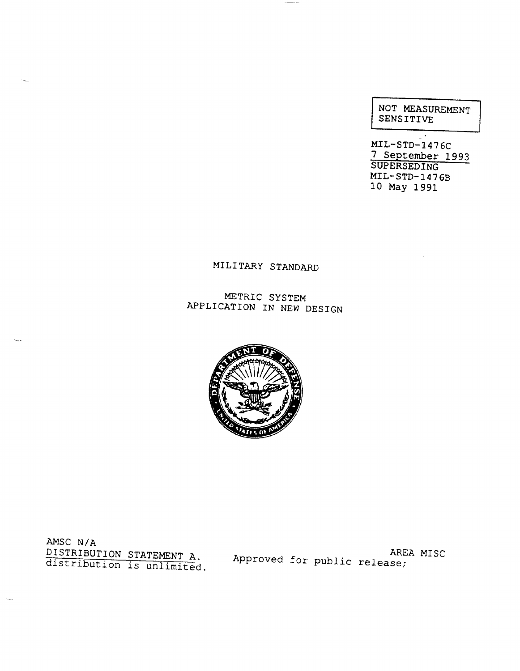| NOT MEASUREMENT<br>SENSITIVE |  |
|------------------------------|--|
|                              |  |

MIL-STD--1476C 7 September 1993 SUPERSEDING MIL-STD-1476B 10 May 1991

# MILITARY STANDARD

METRIC SYSTEM APPLICATION IN NEW DESIGN



AMSC  $N/A$ DISTRIBUTION STATEMENT A. Approved for public release;<br>distribution is unlimited. Approved for public release;

-.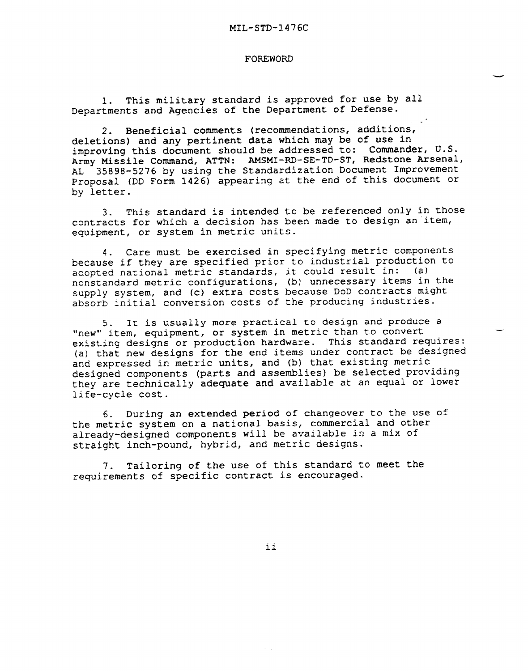#### FOREWORD

1. This military standard is approved for use by all Departments and Agencies of the Department of Defense.

2. Beneficial comments (recommendations, additions, deletions) and any pertinent data which may be of use in improving this document should be addressed to: Commander, U.S. Army Missile Command, ATTN: AMSMI-RD-SE-TD-ST, Redstone Arsenal, AL 35898-5276 by using the Standardization Document Improvement Proposal (DD Form 1426) appearing at the end of this document or by letter.

3. This standard is intended to be referenced only in those contracts for which a decision has been made to design an 'item, equipment, or system in metric units.

4. Care must be exercised in specifying metric components because if they are specified prior to industrial production to adopted national metric standards, it could result in: (a) nonstandard metric configurations, (b) unnecessary items in the supply system, and (c) extra costs because DoD contracts might absorb initial conversion costs of the producing industries.

5. It is usually more practical to design and produce a "new" item, equipment, or system in metric than to convert existing designs or production hardware. This standard requires: (a) that new designs for the end items under contract be designed and expressed in metric units, and (b) that existing metric designed components (parts and assemblies) be selected providing they are technically adequate and available at an equal or lower life-cycle cost.

6. During an extended period of changeover to the use of the metric system on a national basis, commercial and other already-designed components will be available in a mix of straight inch-pound, hybrid, and metric designs.

7. Tailoring of the use of this standard to meet the requirements of specific contract is encouraged.

ii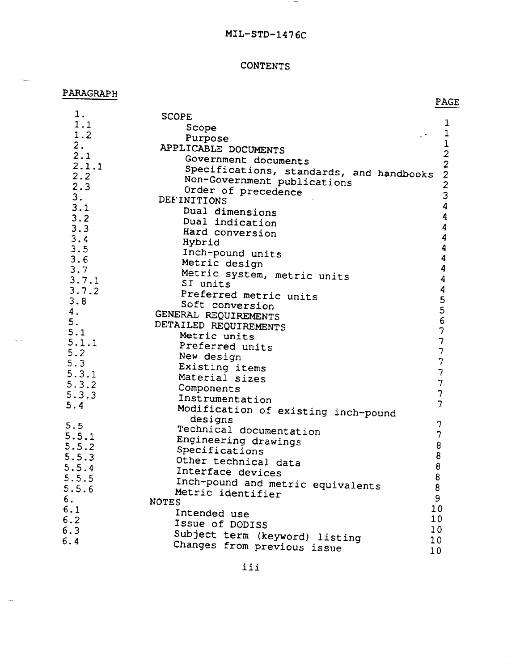# MIL-STD-1476C

 $\sim$  0.000  $\sim$ 

### **CONTENTS**

### PARAGRAPH

-.

 $\sim$ 

PAGE

| 1.    | <b>SCOPE</b>                                           |                                            |
|-------|--------------------------------------------------------|--------------------------------------------|
| 1.1   | Scope                                                  | 1                                          |
| 1.2   | Purpose                                                | $\mathbf{1}$                               |
| 2.    | APPLICABLE DOCUMENTS                                   | $\mathbf 1$                                |
| 2.1   | Government documents                                   | $\begin{array}{c} 2 \\ 2 \\ 2 \end{array}$ |
| 2.1.1 | Specifications, standards, and handbooks               |                                            |
| 2.2   | Non-Government publications                            |                                            |
| 2.3   | Order of precedence                                    | $\frac{2}{3}$                              |
| 3.    | DEFINITIONS                                            |                                            |
| 3.1   | Dual dimensions                                        | $\overline{\mathbf{4}}$                    |
| 3.2   | Dual indication                                        | $\boldsymbol{4}$                           |
| 3.3   | Hard conversion                                        | 4                                          |
| 3.4   | Hybrid                                                 | $\overline{\mathbf{4}}$                    |
| 3.5   | Inch-pound units                                       | $\overline{\mathbf{4}}$                    |
| 3.6   | Metric design                                          | $\boldsymbol{4}$                           |
| 3.7   | Metric system, metric units                            | $\overline{4}$                             |
| 3.7.1 | SI units                                               | 4                                          |
| 3.7.2 | Preferred metric units                                 | $\boldsymbol{4}$                           |
| 3.8   | Soft conversion                                        | 5                                          |
| 4.    | GENERAL REQUIREMENTS                                   | $\frac{5}{6}$                              |
| 5.    | DETAILED REQUIREMENTS                                  |                                            |
| 5.1   | Metric units                                           | $\overline{\mathcal{L}}$                   |
| 5.1.1 | Preferred units                                        | $\overline{7}$                             |
| 5.2   | New design                                             | $\overline{\phantom{a}}$                   |
| 5.3   | Existing items                                         | $\overline{7}$                             |
| 5.3.1 | Material sizes                                         | $\overline{7}$                             |
| 5.3.2 | Components                                             | $\overline{7}$                             |
| 5.3.3 | Instrumentation                                        | $\overline{7}$                             |
| 5.4   |                                                        | $\overline{7}$                             |
|       | Modification of existing inch-pound<br>designs         |                                            |
| 5.5   | Technical documentation                                | 7                                          |
| 5.5.1 | Engineering drawings                                   | 7                                          |
| 5.5.2 | Specifications                                         | 8                                          |
| 5.5.3 | Other technical data                                   | 8                                          |
| 5.5.4 | Interface devices                                      | 8                                          |
| 5.5.5 |                                                        | 8                                          |
| 5.5.6 | Inch-pound and metric equivalents<br>Metric identifier | 8                                          |
| 6.    | <b>NOTES</b>                                           | 9                                          |
| 6.1   | Intended use                                           | 10                                         |
| 6.2   | Issue of DODISS                                        | 10                                         |
| 6.3   |                                                        | 10                                         |
| 6.4   | Subject term (keyword) listing                         | 10                                         |
|       | Changes from previous issue                            | 10                                         |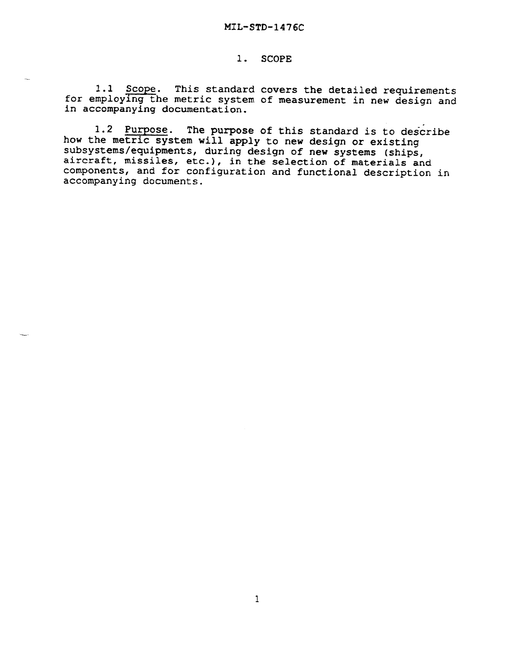#### 1. SCOPE

1.1 Scope. This standard covers the detailed requirements for employing the metric system of measurement in new design and in accompanying documentation.

1.2 Purpose. The purpose of this standard is to describe how the metric system will apply to new design or existing subsystems/equipments, during design of new systems (ships, subsystems/equipments, interest of new systems (subsystems). components, and for configuration and functional description in accompanying documents.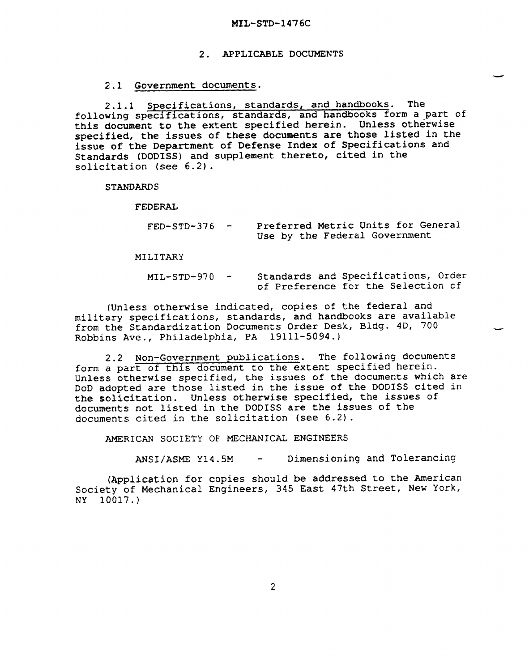#### 2. APPLICABLE DOCUMENTS

#### 2.1 Government documents.

2 .1.1 Specifications, standards, and handbooks. The following specifications, standards, and handbooks form a part of this document to the extent specified herein. Unless otherwise specified, the issues of these documents are those listed in the issue of the Department of Defense Index of Specifications and Standards (DODISS) and supplement thereto, cited in the solicitation (see 6.2).

**STANDARDS** 

FEDERAL

| $FED-STD-376 -$ | Preferred Metric Units for General |
|-----------------|------------------------------------|
|                 | Use by the Federal Government      |

-

MILITARY

MIL-STD-970 Standards and Specifications, Order of Preference for the Selection of

(Unless otherwise indicated, copies of the federal and military specifications, standards, and handbooks are available from the Standardization Documents Order Desk, Bldg. 4D, 700 Robbins Ave., Philadelphia, PA 19111-5094.)

2.2 Non-Government publications. The following documents form a part of this document to the extent specified herein. Unless otherwise specified, the issues of the documents which are DoD adopted are those listed in the issue of the DODISS cited in the solicitation. Unless otherwise specified, the issues of documents not listed in the DODISS are the issues of the documents cited in the solicitation (see 6.2).

AMERICAN SOCIETY OF MECHANICAL ENGINEERS

ANSI/ASME Y14.5M - Dimensioning and Tolerancing

(Application for copies should be addressed to the American Society of Mechanical Engineers, 345 East 47th Street, New York, NY 10017.)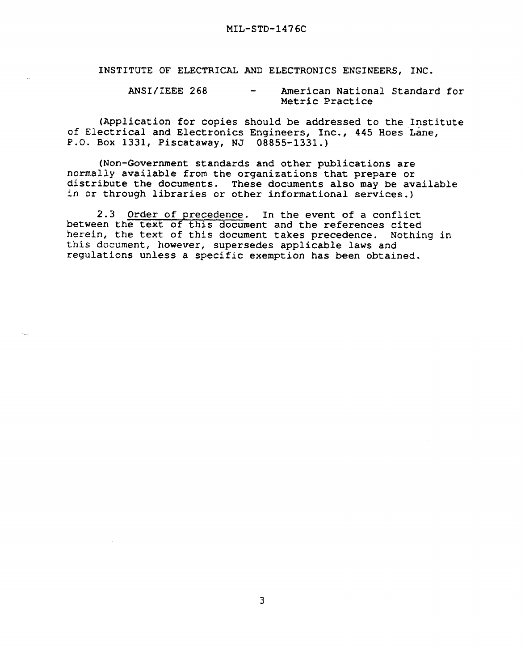INSTITUTE OF ELECTRICAL AND ELECTRONICS ENGINEERS, INC.

ANSI/IEEE 268 - American National Standard for Metric Practice

(Application for copies should be addressed to the Institute of Electrical and Electronics Engineers, Inc., 445 Hoes Lane, P.O. Box 1331, Piscataway, NJ 08855-1331.)

(Non-Government standards and other publications are normally available from the organizations that prepare or distribute the documents. These documents also may be available in or through libraries or other informational services.)

2.3 Order of precedence. In the event of a conflict between the text of this document and the references cited herein, the text of this document takes precedence. Nothing in this document, however, supersedes applicable laws and regulations unless a specific exemption has been obtained.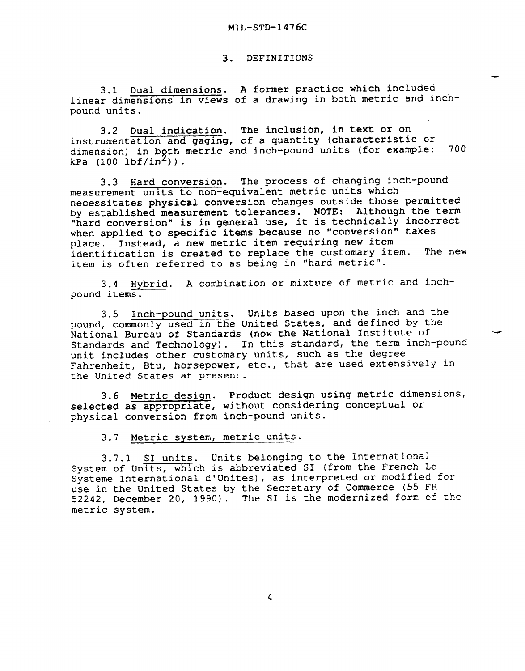#### 3. DEFINITIONS

3.1 Dual dimensions. A former practice which included linear dimensions in views of a drawing in both metric and inchpound units.

3.2 Dual indication. The inclusion, in text or on instrumentation and gaging, of a quantity (characteristic or dimension) in both metric and inch-pound units (for example:  $kPa$  (100 lbf/in<sup>2</sup>)). 700

3.3 Hard conversion. The process of changing inch-pound measurement units to non-equivalent metric units which necessitates physical conversion changes outside those permitted by established measurement tolerances. NOTE: Although the term "hard conversion" is in general use, it is technically incorrect when applied to specific items because no "conversion" takes place. Instead, a new metric item requiring new item identification is created to replace the customary item. The new item is often referred to as being in "hard metric".

3.4 Hybrid. A combination or mixture of metric and inchpound items.

3.5 Inch-pound units. Units based upon the inch and the pound, commonly used in the United States, and defined by the National Bureau of Standards (now the National Institute of Standards and Technology). In this standard, the term inch-pound unit includes other customary units, such as the degree Fahrenheit, Btu, horsepower, etc., that are used extensively in the United States at present.

-

3.6 Metric design. Product design using metric dimensions, selected as appropriate, without considering conceptual or physical conversion from inch-pound units.

3.7 Metric system, metric units.

3.7.1 S1 units. Units belonging to the International System of Units, which is abbreviated S1 (from the French Le Systeme International d'Unites) , as interpreted or modified for use in the United States by the Secretary of Commerce (55 FR 52242, December 20, 1990). The S1 is the modernized form of the metric system.

 $\overline{4}$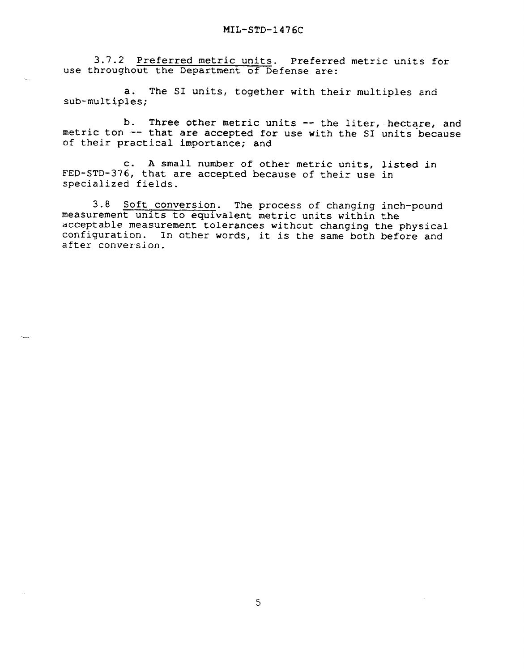3.7.2 Preferred metric units. Preferred metric units for use throughout the Department of Defense are:

a. The S1 units, together with their multiples and sub-multiples;

b. Three other metric units -- the liter, hectare, and metric ton -- that are accepted for use with the SI units because of their practical importance; and

c. A small number of other metric units, listed in FED-sTD-376, that are accepted because of their use in specialized fields.

3.8 Soft conversion. The process of changing inch-pound measurement units to equivalent metric units within the acceptable measurement tolerances without changing the physical configuration. In other words, it is the same both before and after conversion.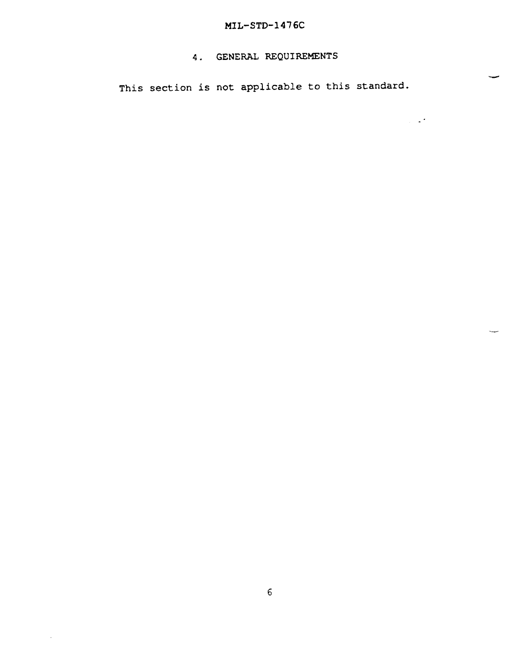# MIL-STD-1476C

### 4. GENERAL REQUIREMENTS

This section is not applicable to this standard.

-

 $\overline{\phantom{0}}$ 

 $\sim 10^4$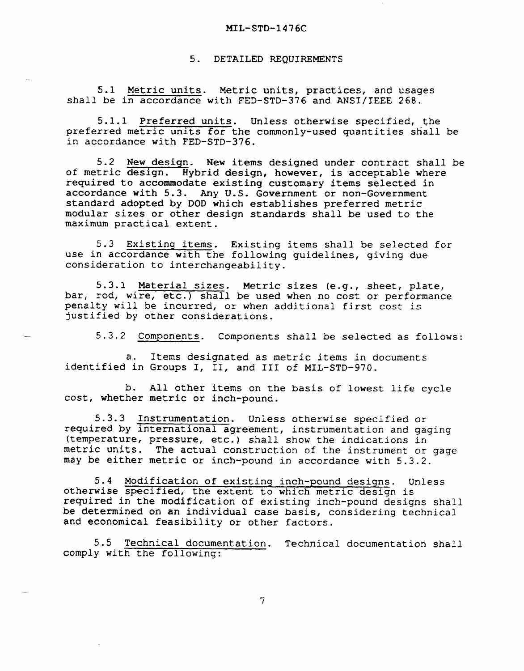#### MIL-STD-1476C

5. DETAILED REQUIREMENTS

5.1 Metric units. Metric units, practices, and usages shall be in accordance with FED-STD-376 and ANSI/IEEE 268.

5.1.1 Preferred units. Unless otherwise specified, the preferred metric units for the commonly-used quantities shall be in accordance with FED-STD-376.

5.2 New design. New items designed under contract shall be of metric design. Hybrid design, however, is acceptable where required to accommodate existing customary items selected in accordance with 5.3. Any U.S. Government or non-Government standard adopted by DOD which establishes preferred metric modular sizes or other design standards shall be used to the maximum practical extent.

5.3 Existing items. Existing items shall be selected for use in accordance with the following guidelines, giving due consideration to interchangeability.

5.3.1 Material sizes. Metric sizes (e.g., sheet, plate, bar, rod, wire, etc.) shall be used when no cost or performance penalty will be incurred, or when additional first cost is justified by other considerations.

5.3.2 Components. Components shall be selected as follows:

a. Items designated as metric items in documents identified in Groups I, II, and 111 of MIL-STD-970.

b. All other items on the basis of lowest life cycle cost, whether metric or inch-pound.

5.3.3 Instrumentation. Unless otherwise specified or required by international agreement, instrumentation and gaging (temperature, pressure, etc.) shall show the indications in metric units. The actual construction of the instrument or gage may be either metric or inch-pound in accordance with 5.3.2.

S.4 Modification of existing inch-pound designs. Unless otherwise specified, the extent to which metric design is required in the modification of existing inch-pound designs shall be determined on an individual case basis, considering technical and economical feasibility or other factors.

5.5 Technical documentation. Technical documentation shall comply with the following:

 $\overline{7}$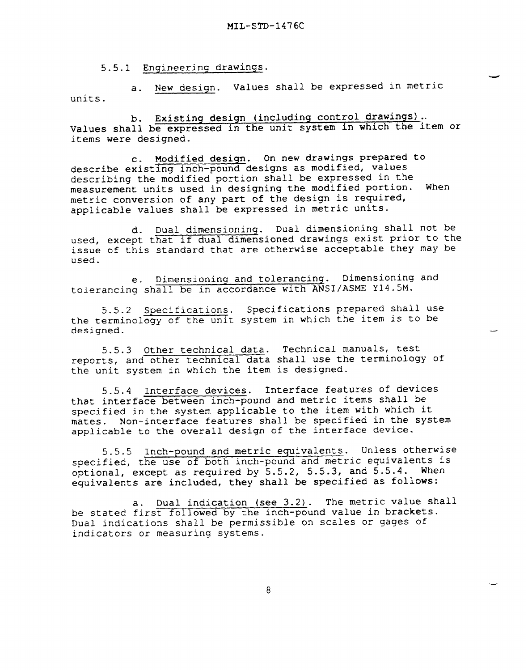-

—

.-

5.5.1 Engineering drawings.

a. New design. Values shall be expressed in metric units.

b. Existing design (includinq control drawings) .. Values shall be expressed in the unit system in which the item or items were designed.

c. Modified design. On new drawings prepared to describe existing inch-pound designs as modified, values describing the modified portion shall be expressed in the measurement units used in designing the modified portion. When metric conversion of any part of the design is required, applicable values shall be expressed in metric units.

d. Dual dimensioning. Dual dimensioning shall not be used, except that if dual dimensioned drawings exist prior to the issue of this standard that are otherwise acceptable they may be used.

e. Dimensioning and tolerancing. Dimensioning and tolerancing shall be in accordance with ANSI/ASME Y14.5M.

5.5.2 Specifications. Specifications prepared shall use the terminology of the unit system in which the item is to be designed.

5.5.3 Other technical data. Technical manuals, test reports, and other technical data shall use the terminology of the unit system in which the item is designed.

5.5.4 Interface devices. Interface features of devices that interface between inch-pound and metric items shall be specified in the system applicable to the item with which it mates. Non-interface features shall be specified in the system applicable to the overall design of the interface device.

5.S.5 Inch-pound and metric equivalents. Unless otherwise specified, the use of both inch-pound and metric equivalents is optional, except as required by 5.5.2, S.5.3, and 5.5-4. When equivalents are included, they shall be specified as follows:

a. Dual indication (see 3.2). The metric value shall be stated first followed by the inch-pound value in brackets. Dual indications shall be permissible on scales or gages of indicators or measuring systems.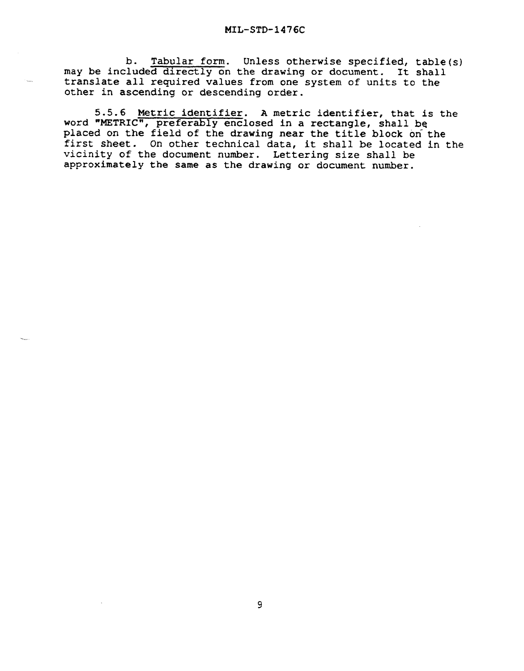b. Tabular form. Unless otherwise specified, table(s) may be included directly on the drawing or document. It shall translate all required values from one system of units to the other in ascending or descending order.

5.5.6 Metric identifier. A metric identifier, that is the word "METRIC", preferably enclosed in a rectangle, shall be placed on the field of the drawing near the title block on the first sheet. On other technical data, it shall be located in the vicinity of the document number. Lettering size shall be approximately the same as the drawing or document number.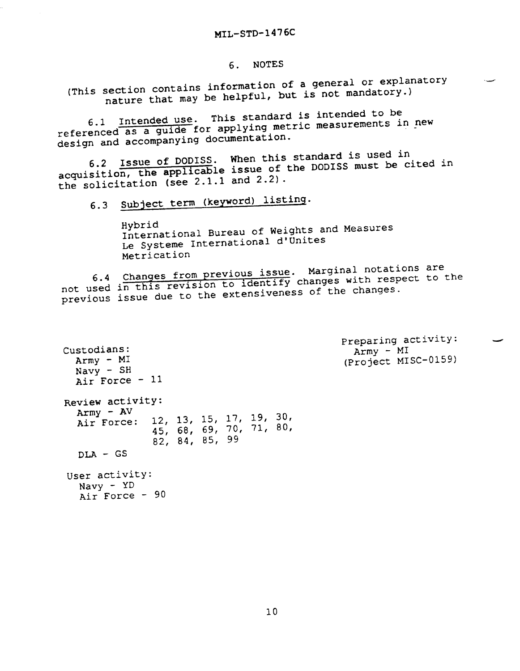### 6. NOTES

(This section contains information of <sup>a</sup> general or explanatory nature that may be helpful, but is not mandatory.)

6.1 Intended use. This standard is intended to be referenced as a guide for applying metric measurements in new design and accompanying documentation.

6.2 Issue of DODISS. When this standard is used in acquisition, the applicable issue of the DODISS must be cited in the solicitation (see 2.1.1 and 2.2) .

6.3 Subject term (keyword) listing.

Hybrid International Bureau of Weights and Measures Le Systeme International d'Unites Metrication

6.4 Changes from previous issue. Marginal notations are not used in this revision to luckers. with respect to the previous issue due to the extensiveness of the changes.

Custodians: Army - MI Navy - SH Air Force - 11 Review activity: Army - AV<br>Air Force: 12, 13, 15, 17, 19, 30, 45, 68, 69, 70, 71, 80/ 82, 84, 85, 99 DLA - GS User activity:  $\text{Navy}$  -  $\text{YD}$ Air Force - 90

Preparing activity:  $Army - MI$ (Project MISC-0159) --